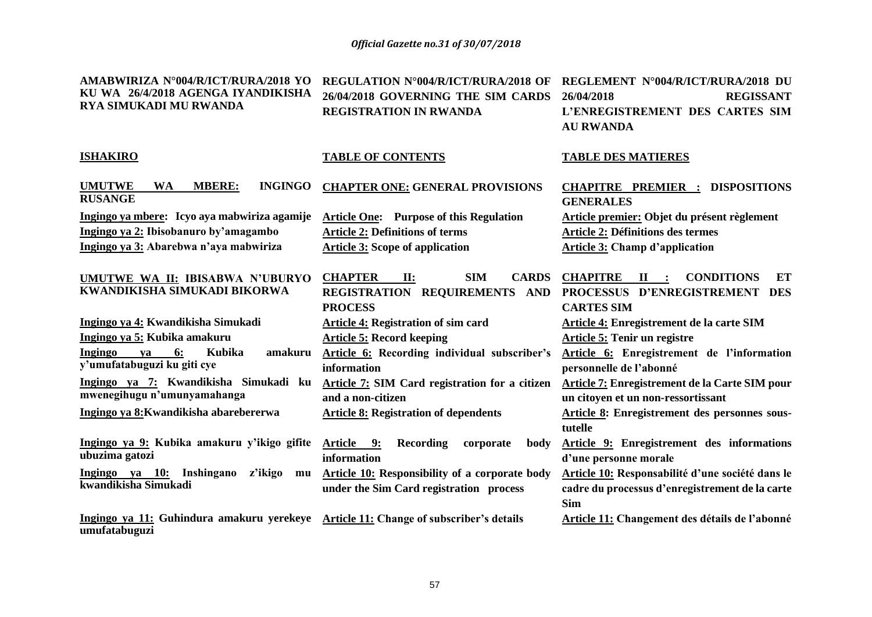**AMABWIRIZA N°004/R/ICT/RURA/2018 YO REGULATION N°004/R/ICT/RURA/2018 OF REGLEMENT N°004/R/ICT/RURA/2018 DU** 

| KU WA 26/4/2018 AGENGA IYANDIKISHA<br><b>RYA SIMUKADI MU RWANDA</b>                                                                           | 26/04/2018 GOVERNING THE SIM CARDS<br>REGISTRATION IN RWANDA                                                                                         | <b>REGISSANT</b><br>26/04/2018<br>L'ENREGISTREMENT DES CARTES SIM<br><b>AU RWANDA</b>                                                              |
|-----------------------------------------------------------------------------------------------------------------------------------------------|------------------------------------------------------------------------------------------------------------------------------------------------------|----------------------------------------------------------------------------------------------------------------------------------------------------|
| <b>ISHAKIRO</b>                                                                                                                               | <b>TABLE OF CONTENTS</b>                                                                                                                             | <b>TABLE DES MATIERES</b>                                                                                                                          |
| <b>UMUTWE</b><br><b>MBERE:</b><br><b>INGINGO</b><br><b>WA</b><br><b>RUSANGE</b>                                                               | <b>CHAPTER ONE: GENERAL PROVISIONS</b>                                                                                                               | <b>CHAPITRE PREMIER : DISPOSITIONS</b><br><b>GENERALES</b>                                                                                         |
| Ingingo ya mbere: Icyo aya mabwiriza agamije<br>Ingingo ya 2: Ibisobanuro by'amagambo<br>Ingingo ya 3: Abarebwa n'aya mabwiriza               | <b>Article One:</b> Purpose of this Regulation<br><b>Article 2: Definitions of terms</b><br><b>Article 3: Scope of application</b>                   | Article premier: Objet du présent règlement<br><b>Article 2: Définitions des termes</b><br><b>Article 3: Champ d'application</b>                   |
| <b>UMUTWE WA II: IBISABWA N'UBURYO</b><br>KWANDIKISHA SIMUKADI BIKORWA                                                                        | <b>CHAPTER</b><br><b>SIM</b><br><b>CARDS</b><br>II:<br>REGISTRATION REQUIREMENTS AND<br><b>PROCESS</b>                                               | <b>CHAPITRE</b><br><b>CONDITIONS</b><br>$\mathbf{I}$ :<br>ET<br>PROCESSUS D'ENREGISTREMENT DES<br><b>CARTES SIM</b>                                |
| Ingingo ya 4: Kwandikisha Simukadi<br>Ingingo ya 5: Kubika amakuru<br>Ingingo<br>6:<br>Kubika<br>amakuru<br>va<br>y'umufatabuguzi ku giti cye | <b>Article 4: Registration of sim card</b><br><b>Article 5: Record keeping</b><br><b>Article 6:</b> Recording individual subscriber's<br>information | Article 4: Enregistrement de la carte SIM<br>Article 5: Tenir un registre<br>Article 6: Enregistrement de l'information<br>personnelle de l'abonné |
| Ingingo ya 7: Kwandikisha Simukadi ku<br>mwenegihugu n'umunyamahanga<br>Ingingo ya 8: Kwandikisha abarebererwa                                | <b>Article 7: SIM Card registration for a citizen</b><br>and a non-citizen<br><b>Article 8: Registration of dependents</b>                           | Article 7: Enregistrement de la Carte SIM pour<br>un citoyen et un non-ressortissant<br><b>Article 8: Enregistrement des personnes sous-</b>       |
| Ingingo ya 9: Kubika amakuru y'ikigo gifite<br>ubuzima gatozi                                                                                 | Article 9:<br>Recording<br>corporate<br>body<br>information                                                                                          | tutelle<br><b>Article 9: Enregistrement des informations</b><br>d'une personne morale                                                              |
| Ingingo ya 10:<br>Inshingano<br>z'ikigo<br>mu<br>kwandikisha Simukadi                                                                         | Article 10: Responsibility of a corporate body<br>under the Sim Card registration process                                                            | Article 10: Responsabilité d'une société dans le<br>cadre du processus d'enregistrement de la carte<br><b>Sim</b>                                  |
| Ingingo ya 11: Guhindura amakuru yerekeye Article 11: Change of subscriber's details<br>umufatabuguzi                                         |                                                                                                                                                      | Article 11: Changement des détails de l'abonné                                                                                                     |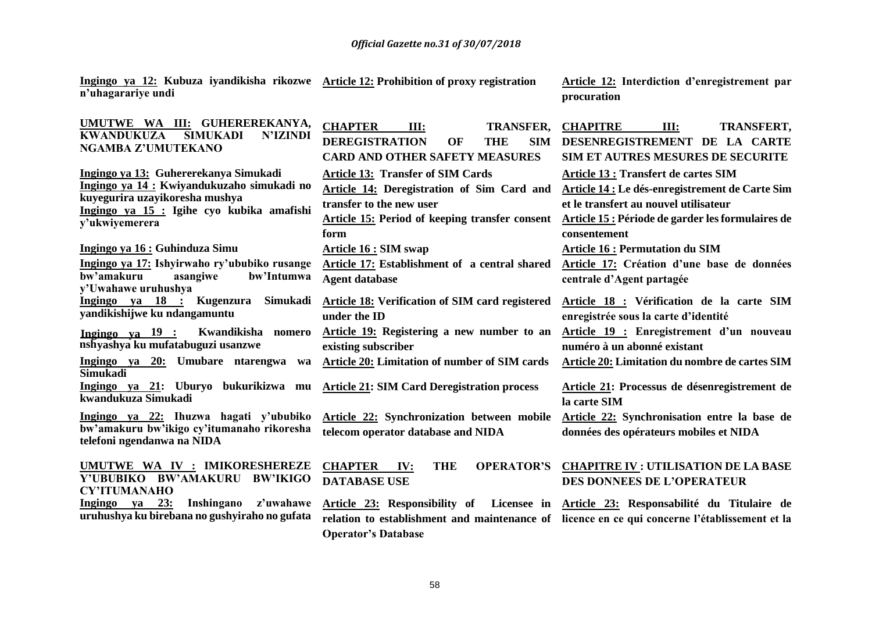**n'uhagarariye undi**

**Ingingo ya 12: Kubuza iyandikisha rikozwe** 

**Article 12: Interdiction d'enregistrement par procuration**

| UMUTWE WA III: GUHEREREKANYA,<br><b>SIMUKADI</b><br><b>N'IZINDI</b><br><b>KWANDUKUZA</b><br>NGAMBA Z'UMUTEKANO                                                                       | <b>CHAPTER</b><br><b>TRANSFER,</b><br>III:<br><b>DEREGISTRATION</b><br><b>THE</b><br><b>SIM</b><br>OF<br><b>CARD AND OTHER SAFETY MEASURES</b>                               | <b>CHAPITRE</b><br>III:<br><b>TRANSFERT,</b><br>DESENREGISTREMENT DE LA CARTE<br>SIM ET AUTRES MESURES DE SECURITE                                                                                    |
|--------------------------------------------------------------------------------------------------------------------------------------------------------------------------------------|------------------------------------------------------------------------------------------------------------------------------------------------------------------------------|-------------------------------------------------------------------------------------------------------------------------------------------------------------------------------------------------------|
| Ingingo ya 13: Guhererekanya Simukadi<br>Ingingo ya 14 : Kwiyandukuzaho simukadi no<br>kuyegurira uzayikoresha mushya<br>Ingingo ya 15 : Igihe cyo kubika amafishi<br>y'ukwiyemerera | <b>Article 13: Transfer of SIM Cards</b><br>Article 14: Deregistration of Sim Card and<br>transfer to the new user<br>Article 15: Period of keeping transfer consent<br>form | Article 13 : Transfert de cartes SIM<br>Article 14 : Le dés-enregistrement de Carte Sim<br>et le transfert au nouvel utilisateur<br>Article 15 : Période de garder les formulaires de<br>consentement |
| Ingingo ya 16 : Guhinduza Simu<br>Ingingo ya 17: Ishyirwaho ry'ububiko rusange<br>bw'amakuru<br>bw'Intumwa<br>asangiwe<br>y'Uwahawe uruhushya                                        | <b>Article 16 : SIM swap</b><br>Article 17: Establishment of a central shared<br><b>Agent database</b>                                                                       | <b>Article 16 : Permutation du SIM</b><br>Article 17: Création d'une base de données<br>centrale d'Agent partagée                                                                                     |
| Ingingo ya 18 : Kugenzura<br>Simukadi<br>yandikishijwe ku ndangamuntu<br>Ingingo ya 19 : Kwandikisha nomero<br>nshyashya ku mufatabuguzi usanzwe                                     | Article 18: Verification of SIM card registered<br>under the ID<br>Article 19: Registering a new number to an<br>existing subscriber                                         | Article 18 : Vérification de la carte SIM<br>enregistrée sous la carte d'identité<br>Article 19 : Enregistrement d'un nouveau<br>numéro à un abonné existant                                          |
| Ingingo ya 20: Umubare ntarengwa wa<br><b>Simukadi</b><br>Ingingo ya 21: Uburyo bukurikizwa mu Article 21: SIM Card Deregistration process<br>kwandukuza Simukadi                    | Article 20: Limitation of number of SIM cards                                                                                                                                | Article 20: Limitation du nombre de cartes SIM<br>Article 21: Processus de désenregistrement de<br>la carte SIM                                                                                       |
| Ingingo ya 22: Ihuzwa hagati y'ububiko<br>bw'amakuru bw'ikigo cy'itumanaho rikoresha<br>telefoni ngendanwa na NIDA                                                                   | Article 22: Synchronization between mobile<br>telecom operator database and NIDA                                                                                             | Article 22: Synchronisation entre la base de<br>données des opérateurs mobiles et NIDA                                                                                                                |
| UMUTWE WA IV : IMIKORESHEREZE<br>Y'UBUBIKO BW'AMAKURU BW'IKIGO<br><b>CY'ITUMANAHO</b>                                                                                                | <b>THE</b><br><b>CHAPTER</b><br>IV:<br><b>DATABASE USE</b>                                                                                                                   | OPERATOR'S CHAPITRE IV : UTILISATION DE LA BASE<br><b>DES DONNEES DE L'OPERATEUR</b>                                                                                                                  |
| Inshingano<br>z'uwahawe<br>Ingingo ya 23:<br>uruhushya ku birebana no gushyiraho no gufata                                                                                           | <b>Operator's Database</b>                                                                                                                                                   | Article 23: Responsibility of Licensee in Article 23: Responsabilité du Titulaire de<br>relation to establishment and maintenance of licence en ce qui concerne l'établissement et la                 |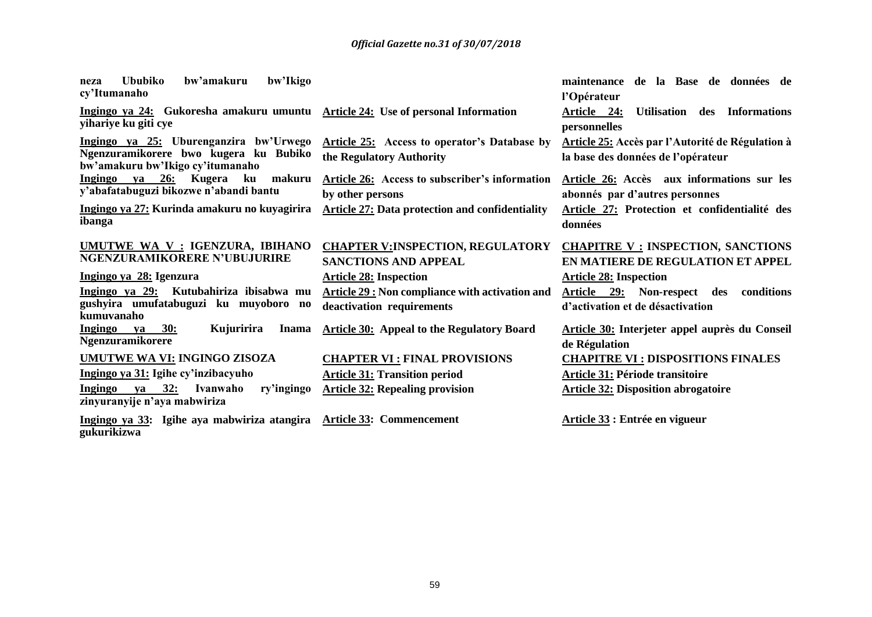| bw'Ikigo<br><b>Ububiko</b><br>bw'amakuru<br>neza<br>cy'Itumanaho                                                    |                                                                                    | maintenance de la Base de données de<br>l'Opérateur                                    |
|---------------------------------------------------------------------------------------------------------------------|------------------------------------------------------------------------------------|----------------------------------------------------------------------------------------|
| Ingingo ya 24: Gukoresha amakuru umuntu Article 24: Use of personal Information<br>yihariye ku giti cye             |                                                                                    | Article 24:<br>Utilisation des<br><b>Informations</b><br>personnelles                  |
| Ingingo ya 25: Uburenganzira bw'Urwego<br>Ngenzuramikorere bwo kugera ku Bubiko<br>bw'amakuru bw'Ikigo cy'itumanaho | <b>Article 25:</b> Access to operator's Database by<br>the Regulatory Authority    | Article 25: Accès par l'Autorité de Régulation à<br>la base des données de l'opérateur |
| ya 26: Kugera<br>makuru<br>ku<br>Ingingo<br>y'abafatabuguzi bikozwe n'abandi bantu                                  | Article 26: Access to subscriber's information<br>by other persons                 | Article 26: Accès aux informations sur les<br>abonnés par d'autres personnes           |
| Ingingo ya 27: Kurinda amakuru no kuyagirira<br>ibanga                                                              | <b>Article 27: Data protection and confidentiality</b>                             | Article 27: Protection et confidentialité des<br>données                               |
| UMUTWE WA V : IGENZURA, IBIHANO<br><b>NGENZURAMIKORERE N'UBUJURIRE</b>                                              | <b>CHAPTER V: INSPECTION, REGULATORY</b><br><b>SANCTIONS AND APPEAL</b>            | <b>CHAPITRE V : INSPECTION, SANCTIONS</b><br>EN MATIERE DE REGULATION ET APPEL         |
| Ingingo ya 28: Igenzura                                                                                             | <b>Article 28: Inspection</b>                                                      | <b>Article 28: Inspection</b>                                                          |
| Ingingo ya 29: Kutubahiriza ibisabwa mu<br>gushyira umufatabuguzi ku muyoboro no<br>kumuvanaho                      | <b>Article 29: Non compliance with activation and</b><br>deactivation requirements | Article 29: Non-respect des<br>conditions<br>d'activation et de désactivation          |
| <b>30:</b><br>Kujuririra<br><b>Ingingo</b><br>va<br><b>Inama</b><br><b>Ngenzuramikorere</b>                         | <b>Article 30:</b> Appeal to the Regulatory Board                                  | <b>Article 30: Interjeter appel auprès du Conseil</b><br>de Régulation                 |
| <b>UMUTWE WA VI: INGINGO ZISOZA</b>                                                                                 | <b>CHAPTER VI: FINAL PROVISIONS</b>                                                | <b>CHAPITRE VI : DISPOSITIONS FINALES</b>                                              |
| Ingingo ya 31: Igihe cy'inzibacyuho                                                                                 | <b>Article 31: Transition period</b>                                               | Article 31: Période transitoire                                                        |
| ya 32:<br>Ivanwaho<br>ry'ingingo<br>Ingingo<br>zinyuranyije n'aya mabwiriza                                         | <b>Article 32: Repealing provision</b>                                             | <b>Article 32: Disposition abrogatoire</b>                                             |
| Ingingo ya 33: Igihe aya mabwiriza atangira Article 33: Commencement                                                |                                                                                    | Article 33 : Entrée en vigueur                                                         |

**gukurikizwa**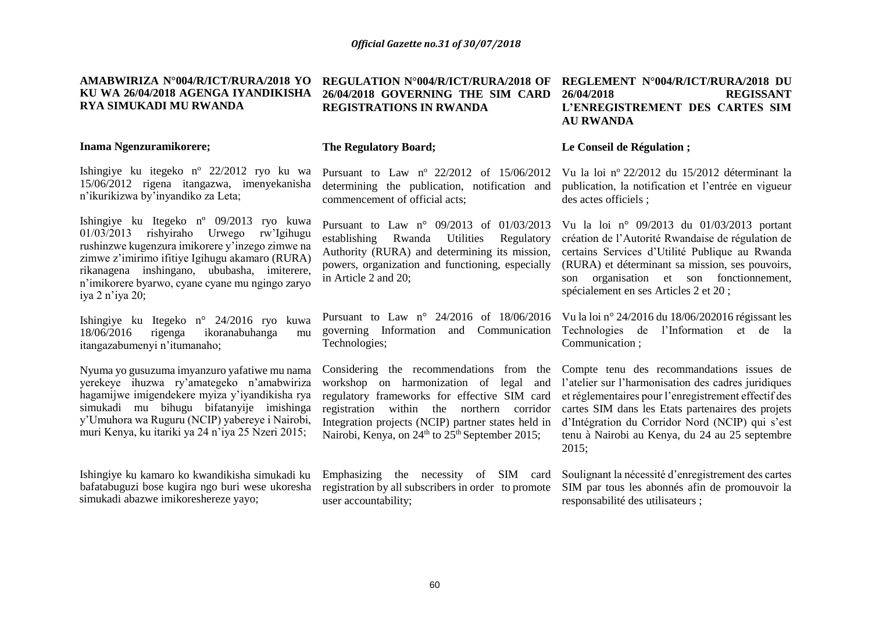#### **AMABWIRIZA N°004/R/ICT/RURA/2018 YO KU WA 26/04/2018 AGENGA IYANDIKISHA RYA SIMUKADI MU RWANDA**

#### **Inama Ngenzuramikorere;**

Ishingiye ku itegeko n<sup>o</sup> 22/2012 ryo ku wa 15/06/2012 rigena itangazwa, imenyekanisha n'ikurikizwa by'inyandiko za Leta;

Ishingiye ku Itegeko nº 09/2013 ryo kuwa 01/03/2013 rishyiraho Urwego rw'Igihugu rushinzwe kugenzura imikorere y'inzego zimwe na zimwe z'imirimo ifitiye Igihugu akamaro (RURA) rikanagena inshingano, ububasha, imiterere, n'imikorere byarwo, cyane cyane mu ngingo zaryo iya 2 n'iya 20;

Ishingiye ku Itegeko n° 24/2016 ryo kuwa 18/06/2016 rigenga ikoranabuhanga mu itangazabumenyi n'itumanaho;

Nyuma yo gusuzuma imyanzuro yafatiwe mu nama yerekeye ihuzwa ry'amategeko n'amabwiriza hagamijwe imigendekere myiza y'iyandikisha rya simukadi mu bihugu bifatanyije imishinga y'Umuhora wa Ruguru (NCIP) yabereye i Nairobi, muri Kenya, ku itariki ya 24 n'iya 25 Nzeri 2015;

Ishingiye ku kamaro ko kwandikisha simukadi ku bafatabuguzi bose kugira ngo buri wese ukoresha simukadi abazwe imikoreshereze yayo;

### **26/04/2018 GOVERNING THE SIM CARD REGISTRATIONS IN RWANDA**

#### **The Regulatory Board;**

Pursuant to Law  $n^{\circ}$  22/2012 of 15/06/2012 determining the publication, notification and commencement of official acts;

establishing Rwanda Utilities Regulatory Authority (RURA) and determining its mission, in Article 2 and 20;

Technologies;

Integration projects (NCIP) partner states held in Nairobi, Kenya, on  $24<sup>th</sup>$  to  $25<sup>th</sup>$  September 2015;

Emphasizing the necessity of SIM card registration by all subscribers in order to promote user accountability;

#### **REGULATION N°004/R/ICT/RURA/2018 OF REGLEMENT N°004/R/ICT/RURA/2018 DU 26/04/2018 REGISSANT L'ENREGISTREMENT DES CARTES SIM AU RWANDA**

#### **Le Conseil de Régulation ;**

Vu la loi n<sup>o</sup>22/2012 du 15/2012 déterminant la publication, la notification et l'entrée en vigueur des actes officiels ;

Pursuant to Law n° 09/2013 of 01/03/2013 Vu la loi n° 09/2013 du 01/03/2013 portant powers, organization and functioning, especially (RURA) et déterminant sa mission, ses pouvoirs, création de l'Autorité Rwandaise de régulation de certains Services d'Utilité Publique au Rwanda son organisation et son fonctionnement, spécialement en ses Articles 2 et 20 ;

Pursuant to Law n° 24/2016 of 18/06/2016 Vu la loi n° 24/2016 du 18/06/202016 régissant les governing Information and Communication Technologies de l'Information et de la Communication ;

Considering the recommendations from the Compte tenu des recommandations issues de workshop on harmonization of legal and l'atelier sur l'harmonisation des cadres juridiques regulatory frameworks for effective SIM card et réglementaires pour l'enregistrement effectif des registration within the northern corridor cartes SIM dans les Etats partenaires des projets d'Intégration du Corridor Nord (NCIP) qui s'est tenu à Nairobi au Kenya, du 24 au 25 septembre 2015;

> Soulignant la nécessité d'enregistrement des cartes SIM par tous les abonnés afin de promouvoir la responsabilité des utilisateurs ;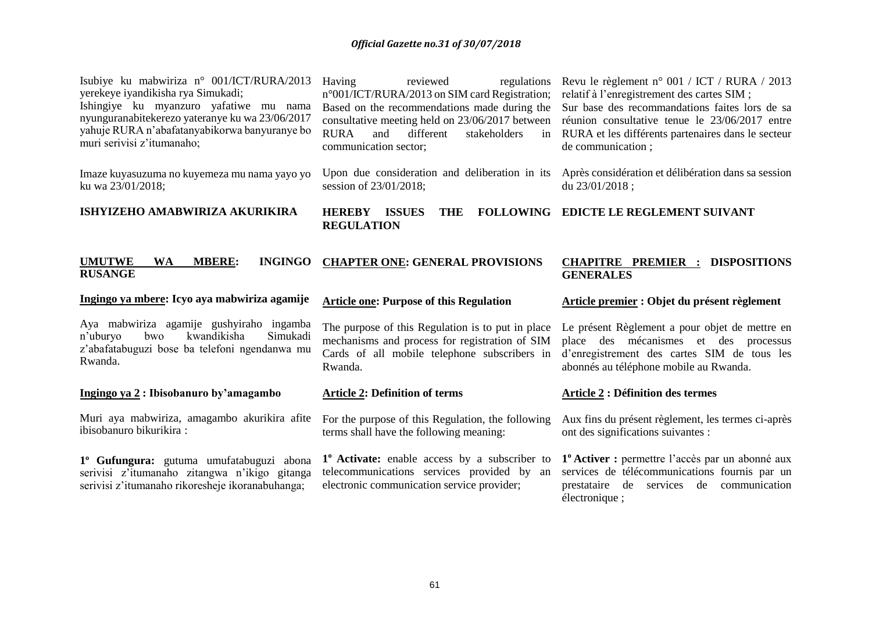| Isubiye ku mabwiriza n° 001/ICT/RURA/2013<br>yerekeye iyandikisha rya Simukadi;<br>Ishingiye ku myanzuro yafatiwe mu nama<br>nyunguranabitekerezo yateranye ku wa 23/06/2017<br>yahuje RURA n'abafatanyabikorwa banyuranye bo<br>muri serivisi z'itumanaho; | Having<br>reviewed<br>regulations<br>n°001/ICT/RURA/2013 on SIM card Registration;<br>Based on the recommendations made during the<br><b>RURA</b><br>and<br>different<br>stakeholders<br>communication sector; | Revu le règlement n° 001 / ICT / RURA / 2013<br>relatif à l'enregistrement des cartes SIM ;<br>Sur base des recommandations faites lors de sa<br>consultative meeting held on 23/06/2017 between réunion consultative tenue le 23/06/2017 entre<br>in RURA et les différents partenaires dans le secteur<br>de communication; |
|-------------------------------------------------------------------------------------------------------------------------------------------------------------------------------------------------------------------------------------------------------------|----------------------------------------------------------------------------------------------------------------------------------------------------------------------------------------------------------------|-------------------------------------------------------------------------------------------------------------------------------------------------------------------------------------------------------------------------------------------------------------------------------------------------------------------------------|
| Imaze kuyasuzuma no kuyemeza mu nama yayo yo<br>ku wa 23/01/2018;                                                                                                                                                                                           | session of 23/01/2018;                                                                                                                                                                                         | Upon due consideration and deliberation in its Après considération et délibération dans sa session<br>du 23/01/2018;                                                                                                                                                                                                          |
| ISHYIZEHO AMABWIRIZA AKURIKIRA                                                                                                                                                                                                                              | <b>HEREBY ISSUES</b><br><b>THE</b><br><b>REGULATION</b>                                                                                                                                                        | FOLLOWING EDICTE LE REGLEMENT SUIVANT                                                                                                                                                                                                                                                                                         |
| <b>MBERE:</b><br><b>INGINGO</b><br><b>UMUTWE</b><br><b>WA</b><br><b>RUSANGE</b>                                                                                                                                                                             | <b>CHAPTER ONE: GENERAL PROVISIONS</b>                                                                                                                                                                         | <b>CHAPITRE PREMIER :</b><br><b>DISPOSITIONS</b><br><b>GENERALES</b>                                                                                                                                                                                                                                                          |
|                                                                                                                                                                                                                                                             |                                                                                                                                                                                                                |                                                                                                                                                                                                                                                                                                                               |
| Ingingo ya mbere: Icyo aya mabwiriza agamije                                                                                                                                                                                                                | <b>Article one: Purpose of this Regulation</b>                                                                                                                                                                 | Article premier : Objet du présent règlement                                                                                                                                                                                                                                                                                  |
| Aya mabwiriza agamije gushyiraho ingamba<br>Simukadi<br>kwandikisha<br>n'uburyo<br>bwo<br>z'abafatabuguzi bose ba telefoni ngendanwa mu<br>Rwanda.                                                                                                          | The purpose of this Regulation is to put in place<br>mechanisms and process for registration of SIM<br>Cards of all mobile telephone subscribers in<br>Rwanda.                                                 | Le présent Règlement a pour objet de mettre en<br>place des mécanismes et des processus<br>d'enregistrement des cartes SIM de tous les<br>abonnés au téléphone mobile au Rwanda.                                                                                                                                              |
| Ingingo ya 2: Ibisobanuro by'amagambo                                                                                                                                                                                                                       | <b>Article 2: Definition of terms</b>                                                                                                                                                                          | <b>Article 2 : Définition des termes</b>                                                                                                                                                                                                                                                                                      |
| Muri aya mabwiriza, amagambo akurikira afite<br>ibisobanuro bikurikira:                                                                                                                                                                                     | For the purpose of this Regulation, the following<br>terms shall have the following meaning:                                                                                                                   | Aux fins du présent règlement, les termes ci-après<br>ont des significations suivantes :                                                                                                                                                                                                                                      |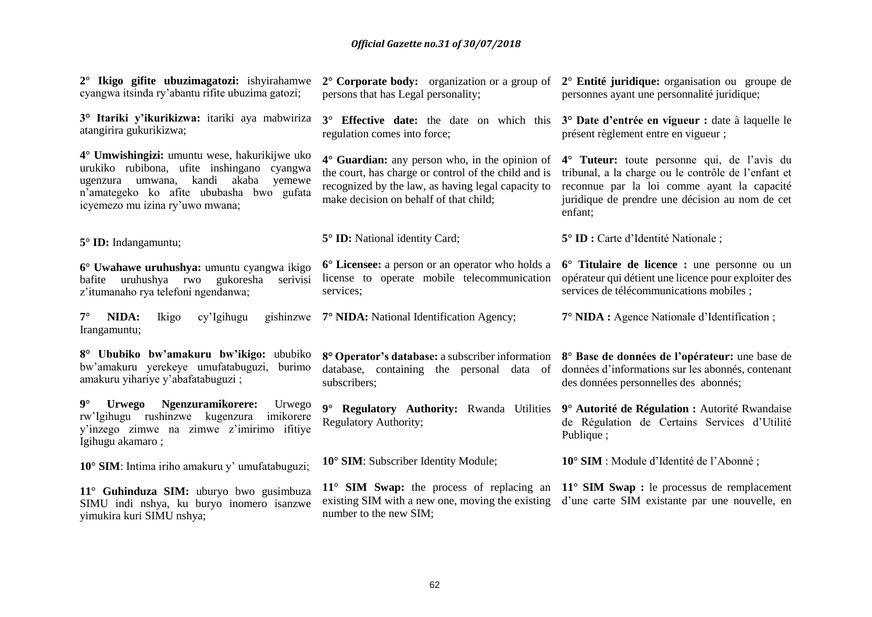| $2^{\circ}$ Ikigo gifite ubuzimagatozi: ishyirahamwe<br>cyangwa itsinda ry'abantu rifite ubuzima gatozi;                                                                                                                   | $2^{\circ}$ Corporate body: organization or a group of $2^{\circ}$ Entité juridique: organisation ou groupe de<br>persons that has Legal personality;                                                  | personnes ayant une personnalité juridique;                                                                                                                                                                     |
|----------------------------------------------------------------------------------------------------------------------------------------------------------------------------------------------------------------------------|--------------------------------------------------------------------------------------------------------------------------------------------------------------------------------------------------------|-----------------------------------------------------------------------------------------------------------------------------------------------------------------------------------------------------------------|
| 3° Itariki y'ikurikizwa: itariki aya mabwiriza<br>atangirira gukurikizwa;                                                                                                                                                  | regulation comes into force;                                                                                                                                                                           | 3° Effective date: the date on which this 3° Date d'entrée en vigueur : date à laquelle le<br>présent règlement entre en vigueur;                                                                               |
| 4° Umwishingizi: umuntu wese, hakurikijwe uko<br>urukiko rubibona, ufite inshingano cyangwa<br>kandi<br>akaba<br>yemewe<br>ugenzura umwana,<br>n'amategeko ko afite ububasha bwo gufata<br>icyemezo mu izina ry'uwo mwana; | 4° Guardian: any person who, in the opinion of<br>the court, has charge or control of the child and is<br>recognized by the law, as having legal capacity to<br>make decision on behalf of that child; | 4° Tuteur: toute personne qui, de l'avis du<br>tribunal, a la charge ou le contrôle de l'enfant et<br>reconnue par la loi comme ayant la capacité<br>juridique de prendre une décision au nom de cet<br>enfant; |
| 5° ID: Indangamuntu;                                                                                                                                                                                                       | 5° ID: National identity Card;                                                                                                                                                                         | 5° ID : Carte d'Identité Nationale ;                                                                                                                                                                            |
| 6° Uwahawe uruhushya: umuntu cyangwa ikigo<br>uruhushya rwo<br>gukoresha<br>serivisi<br>bafite<br>z'itumanaho rya telefoni ngendanwa;                                                                                      | 6° Licensee: a person or an operator who holds a<br>license to operate mobile telecommunication<br>services;                                                                                           | 6° Titulaire de licence : une personne ou un<br>opérateur qui détient une licence pour exploiter des<br>services de télécommunications mobiles ;                                                                |
| NIDA:<br>Ikigo<br>cy'Igihugu<br>$7^{\circ}$<br>Irangamuntu;                                                                                                                                                                | gishinzwe 7° NIDA: National Identification Agency;                                                                                                                                                     | 7° NIDA : Agence Nationale d'Identification;                                                                                                                                                                    |
| 8° Ububiko bw'amakuru bw'ikigo: ububiko<br>bw'amakuru yerekeye umufatabuguzi,<br>burimo<br>amakuru yihariye y'abafatabuguzi;                                                                                               | 8° Operator's database: a subscriber information<br>database, containing the personal data of<br>subscribers;                                                                                          | 8° Base de données de l'opérateur: une base de<br>données d'informations sur les abonnés, contenant<br>des données personnelles des abonnés;                                                                    |
| $9^\circ$<br>Ngenzuramikorere:<br><b>Urwego</b><br>Urwego<br>rw'Igihugu rushinzwe kugenzura<br>imikorere<br>y'inzego zimwe na zimwe z'imirimo ifitiye<br>Igihugu akamaro;                                                  | $9^\circ$<br>Regulatory Authority: Rwanda Utilities<br><b>Regulatory Authority;</b>                                                                                                                    | 9° Autorité de Régulation : Autorité Rwandaise<br>de Régulation de Certains Services d'Utilité<br>Publique;                                                                                                     |
| 10° SIM: Intima iriho amakuru y' umufatabuguzi;                                                                                                                                                                            | 10° SIM: Subscriber Identity Module;                                                                                                                                                                   | 10° SIM : Module d'Identité de l'Abonné;                                                                                                                                                                        |
| 11° Guhinduza SIM: uburyo bwo gusimbuza<br>SIMU indi nshya, ku buryo inomero isanzwe<br>yimukira kuri SIMU nshya;                                                                                                          | existing SIM with a new one, moving the existing<br>number to the new SIM;                                                                                                                             | 11° SIM Swap: the process of replacing an 11° SIM Swap : le processus de remplacement<br>d'une carte SIM existante par une nouvelle, en                                                                         |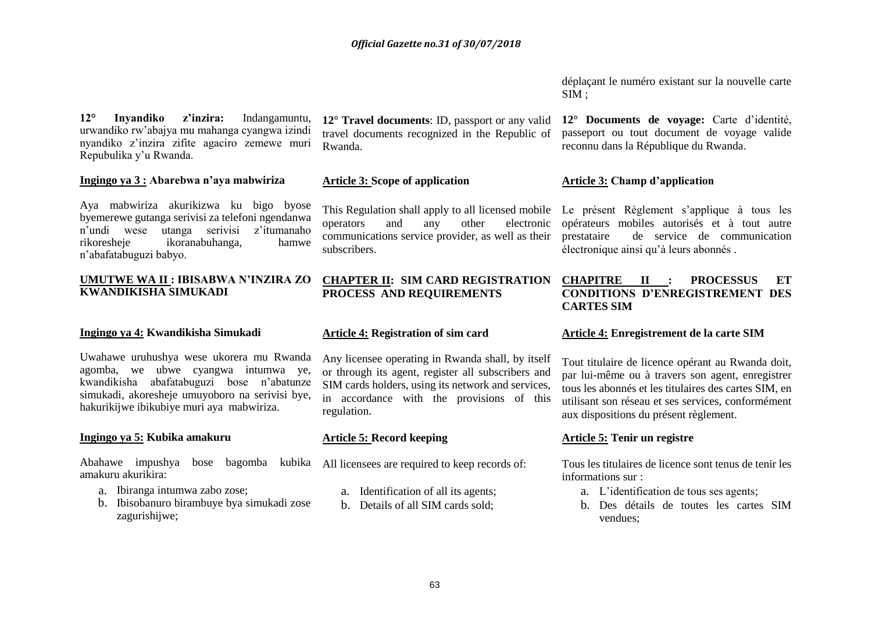**12° Inyandiko z'inzira:** Indangamuntu, urwandiko rw'abajya mu mahanga cyangwa izindi nyandiko z'inzira zifite agaciro zemewe muri Repubulika y'u Rwanda.

#### **Ingingo ya 3 : Abarebwa n'aya mabwiriza**

Aya mabwiriza akurikizwa ku bigo byose byemerewe gutanga serivisi za telefoni ngendanwa n'undi wese utanga serivisi z'itumanaho rikoresheje ikoranabuhanga, hamwe n'abafatabuguzi babyo.

#### **UMUTWE WA II : IBISABWA N'INZIRA ZO KWANDIKISHA SIMUKADI**

#### **Ingingo ya 4: Kwandikisha Simukadi**

Uwahawe uruhushya wese ukorera mu Rwanda agomba, we ubwe cyangwa intumwa ye, kwandikisha abafatabuguzi bose n'abatunze simukadi, akoresheje umuyoboro na serivisi bye, hakurikijwe ibikubiye muri aya mabwiriza.

#### **Ingingo ya 5: Kubika amakuru**

Abahawe impushya bose bagomba kubika All licensees are required to keep records of: amakuru akurikira:

- a. Ibiranga intumwa zabo zose;
- b. Ibisobanuro birambuye bya simukadi zose zagurishijwe;

**12° Travel documents**: ID, passport or any valid travel documents recognized in the Republic of Rwanda.

#### **Article 3: Scope of application**

communications service provider, as well as their subscribers.

#### **CHAPTER II: SIM CARD REGISTRATION PROCESS AND REQUIREMENTS**

#### **Article 4: Registration of sim card**

Any licensee operating in Rwanda shall, by itself or through its agent, register all subscribers and SIM cards holders, using its network and services, in accordance with the provisions of this regulation.

#### **Article 5: Record keeping**

- a. Identification of all its agents;
- b. Details of all SIM cards sold;

déplaçant le numéro existant sur la nouvelle carte SIM ;

**12° Documents de voyage:** Carte d'identité, passeport ou tout document de voyage valide reconnu dans la République du Rwanda.

#### **Article 3: Champ d'application**

This Regulation shall apply to all licensed mobile Le présent Règlement s'applique à tous les operators and any other electronic opérateurs mobiles autorisés et à tout autre prestataire de service de communication électronique ainsi qu'à leurs abonnés .

#### **CHAPITRE II : PROCESSUS ET CONDITIONS D'ENREGISTREMENT DES CARTES SIM**

#### **Article 4: Enregistrement de la carte SIM**

Tout titulaire de licence opérant au Rwanda doit, par lui-même ou à travers son agent, enregistrer tous les abonnés et les titulaires des cartes SIM, en utilisant son réseau et ses services, conformément aux dispositions du présent règlement.

#### **Article 5: Tenir un registre**

Tous les titulaires de licence sont tenus de tenir les informations sur :

- a. L'identification de tous ses agents;
- b. Des détails de toutes les cartes SIM vendues;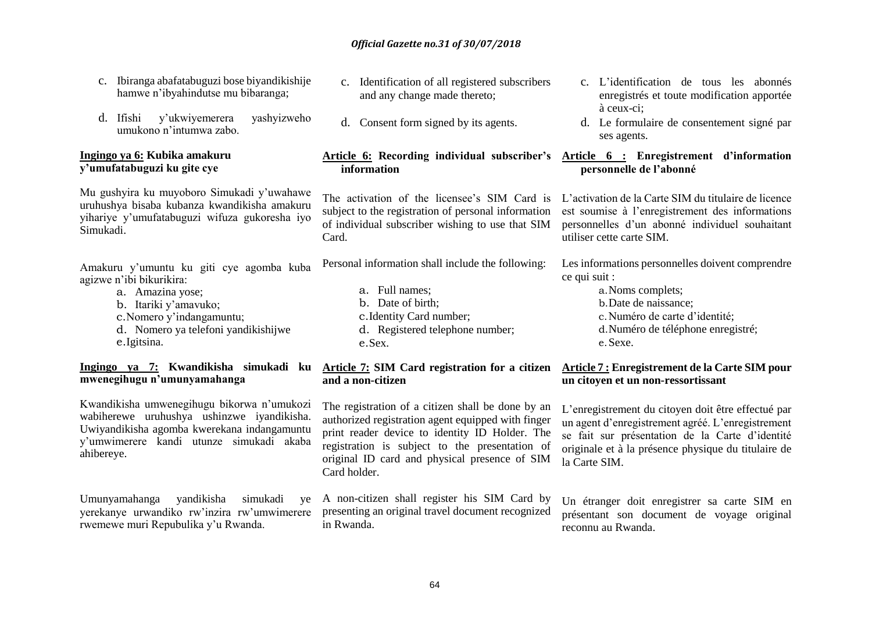- c. Ibiranga abafatabuguzi bose biyandikishije hamwe n'ibyahindutse mu bibaranga;
- d. Ifishi y'ukwiyemerera yashyizweho umukono n'intumwa zabo.

#### **Ingingo ya 6: Kubika amakuru y'umufatabuguzi ku gite cye**

Mu gushyira ku muyoboro Simukadi y'uwahawe uruhushya bisaba kubanza kwandikisha amakuru yihariye y'umufatabuguzi wifuza gukoresha iyo Simukadi.

Amakuru y'umuntu ku giti cye agomba kuba agizwe n'ibi bikurikira:

- a. Amazina yose;
- b. Itariki y'amavuko;
- c.Nomero y'indangamuntu;
- d. Nomero ya telefoni yandikishijwe e.Igitsina.

**Ingingo ya 7: Kwandikisha simukadi ku mwenegihugu n'umunyamahanga**

Kwandikisha umwenegihugu bikorwa n'umukozi wabiherewe uruhushya ushinzwe iyandikisha. Uwiyandikisha agomba kwerekana indangamuntu y'umwimerere kandi utunze simukadi akaba ahibereye.

Umunyamahanga yandikisha simukadi ye yerekanye urwandiko rw'inzira rw'umwimerere rwemewe muri Repubulika y'u Rwanda.

- c. Identification of all registered subscribers and any change made thereto;
- d. Consent form signed by its agents.

#### **Article 6: Recording individual subscriber's Article 6 : Enregistrement d'information information**

subject to the registration of personal information of individual subscriber wishing to use that SIM Card.

Personal information shall include the following:

- a. Full names;
- b. Date of birth;
- c.Identity Card number;
- d. Registered telephone number; e.Sex.

#### **Article 7: SIM Card registration for a citizen and a non-citizen**

The registration of a citizen shall be done by an authorized registration agent equipped with finger print reader device to identity ID Holder. The registration is subject to the presentation of original ID card and physical presence of SIM Card holder.

A non-citizen shall register his SIM Card by presenting an original travel document recognized in Rwanda.

- c. L'identification de tous les abonnés enregistrés et toute modification apportée à ceux-ci;
- d. Le formulaire de consentement signé par ses agents.

# **personnelle de l'abonné**

The activation of the licensee's SIM Card is L'activation de la Carte SIM du titulaire de licence est soumise à l'enregistrement des informations personnelles d'un abonné individuel souhaitant utiliser cette carte SIM.

> Les informations personnelles doivent comprendre ce qui suit :

> > a.Noms complets; b.Date de naissance; c.Numéro de carte d'identité; d.Numéro de téléphone enregistré; e.Sexe.

#### **Article 7 : Enregistrement de la Carte SIM pour un citoyen et un non-ressortissant**

L'enregistrement du citoyen doit être effectué par un agent d'enregistrement agréé. L'enregistrement se fait sur présentation de la Carte d'identité originale et à la présence physique du titulaire de la Carte SIM.

Un étranger doit enregistrer sa carte SIM en présentant son document de voyage original reconnu au Rwanda.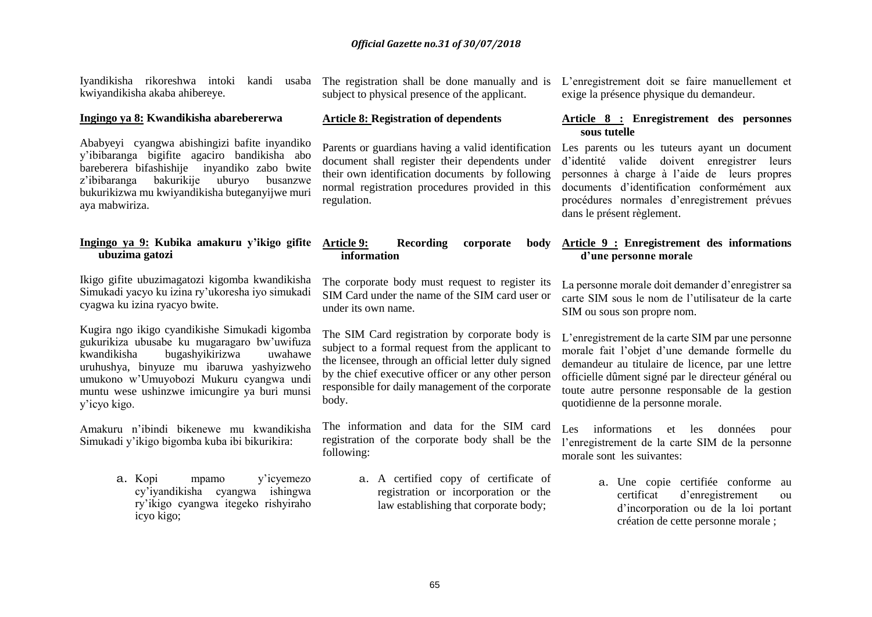Iyandikisha rikoreshwa intoki kandi usaba kwiyandikisha akaba ahibereye.

#### **Ingingo ya 8: Kwandikisha abarebererwa**

Ababyeyi cyangwa abishingizi bafite inyandiko y'ibibaranga bigifite agaciro bandikisha abo bareberera bifashishije inyandiko zabo bwite z'ibibaranga bakurikije uburyo busanzwe bukurikizwa mu kwiyandikisha buteganyijwe muri aya mabwiriza.

#### **Ingingo ya 9: Kubika amakuru y'ikigo gifite ubuzima gatozi**

Ikigo gifite ubuzimagatozi kigomba kwandikisha Simukadi yacyo ku izina ry'ukoresha iyo simukadi cyagwa ku izina ryacyo bwite.

Kugira ngo ikigo cyandikishe Simukadi kigomba gukurikiza ubusabe ku mugaragaro bw'uwifuza kwandikisha bugashyikirizwa uwahawe uruhushya, binyuze mu ibaruwa yashyizweho umukono w'Umuyobozi Mukuru cyangwa undi muntu wese ushinzwe imicungire ya buri munsi y'icyo kigo.

Amakuru n'ibindi bikenewe mu kwandikisha Simukadi y'ikigo bigomba kuba ibi bikurikira:

> a. Kopi mpamo y'icyemezo cy'iyandikisha cyangwa ishingwa ry'ikigo cyangwa itegeko rishyiraho icyo kigo;

subject to physical presence of the applicant.

#### **Article 8: Registration of dependents**

document shall register their dependents under their own identification documents by following normal registration procedures provided in this regulation.

#### Article 9: **Recording corporate information**

The corporate body must request to register its SIM Card under the name of the SIM card user or under its own name.

The SIM Card registration by corporate body is subject to a formal request from the applicant to the licensee, through an official letter duly signed by the chief executive officer or any other person responsible for daily management of the corporate body.

The information and data for the SIM card registration of the corporate body shall be the following:

> a. A certified copy of certificate of registration or incorporation or the law establishing that corporate body;

The registration shall be done manually and is L'enregistrement doit se faire manuellement et exige la présence physique du demandeur.

#### **Article 8 : Enregistrement des personnes sous tutelle**

Parents or guardians having a valid identification Les parents ou les tuteurs ayant un document d'identité valide doivent enregistrer leurs personnes à charge à l'aide de leurs propres documents d'identification conformément aux procédures normales d'enregistrement prévues dans le présent règlement.

#### **Article 9 : Enregistrement des informations d'une personne morale**

La personne morale doit demander d'enregistrer sa carte SIM sous le nom de l'utilisateur de la carte SIM ou sous son propre nom.

L'enregistrement de la carte SIM par une personne morale fait l'objet d'une demande formelle du demandeur au titulaire de licence, par une lettre officielle dûment signé par le directeur général ou toute autre personne responsable de la gestion quotidienne de la personne morale.

Les informations et les données pour l'enregistrement de la carte SIM de la personne morale sont les suivantes:

> a. Une copie certifiée conforme au certificat d'enregistrement ou d'incorporation ou de la loi portant création de cette personne morale ;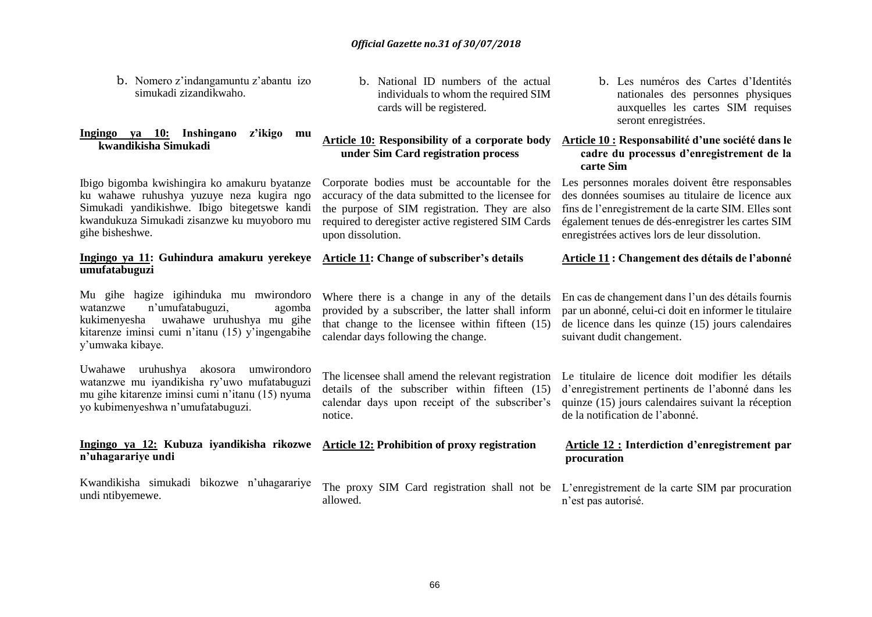b. Nomero z'indangamuntu z'abantu izo simukadi zizandikwaho.

#### **Ingingo ya 10: Inshingano z'ikigo mu kwandikisha Simukadi**

Ibigo bigomba kwishingira ko amakuru byatanze ku wahawe ruhushya yuzuye neza kugira ngo Simukadi yandikishwe. Ibigo bitegetswe kandi kwandukuza Simukadi zisanzwe ku muyoboro mu gihe bisheshwe.

#### **Ingingo ya 11: Guhindura amakuru yerekeye umufatabuguzi**

Mu gihe hagize igihinduka mu mwirondoro watanzwe n'umufatabuguzi, agomba kukimenyesha uwahawe uruhushya mu gihe kitarenze iminsi cumi n'itanu (15) y'ingengabihe y'umwaka kibaye.

Uwahawe uruhushya akosora umwirondoro watanzwe mu iyandikisha ry'uwo mufatabuguzi mu gihe kitarenze iminsi cumi n'itanu (15) nyuma yo kubimenyeshwa n'umufatabuguzi.

#### **Ingingo ya 12: Kubuza iyandikisha rikozwe Article 12: Prohibition of proxy registration n'uhagarariye undi**

Kwandikisha simukadi bikozwe n'uhagarariye undi ntibyemewe.

b. National ID numbers of the actual individuals to whom the required SIM cards will be registered.

#### **Article 10: Responsibility of a corporate body Article 10 : Responsabilité d'une société dans le under Sim Card registration process**

accuracy of the data submitted to the licensee for the purpose of SIM registration. They are also required to deregister active registered SIM Cards upon dissolution.

#### **Article 11: Change of subscriber's details**

#### Where there is a change in any of the details provided by a subscriber, the latter shall inform that change to the licensee within fifteen (15) calendar days following the change.

The licensee shall amend the relevant registration Le titulaire de licence doit modifier les détails details of the subscriber within fifteen (15) calendar days upon receipt of the subscriber's notice.

allowed.

b. Les numéros des Cartes d'Identités nationales des personnes physiques auxquelles les cartes SIM requises seront enregistrées.

### **cadre du processus d'enregistrement de la carte Sim**

Corporate bodies must be accountable for the Les personnes morales doivent être responsables des données soumises au titulaire de licence aux fins de l'enregistrement de la carte SIM. Elles sont également tenues de dés-enregistrer les cartes SIM enregistrées actives lors de leur dissolution.

#### **Article 11 : Changement des détails de l'abonné**

En cas de changement dans l'un des détails fournis par un abonné, celui-ci doit en informer le titulaire de licence dans les quinze (15) jours calendaires suivant dudit changement.

d'enregistrement pertinents de l'abonné dans les quinze (15) jours calendaires suivant la réception de la notification de l'abonné.

#### **Article 12 : Interdiction d'enregistrement par procuration**

The proxy SIM Card registration shall not be L'enregistrement de la carte SIM par procuration n'est pas autorisé.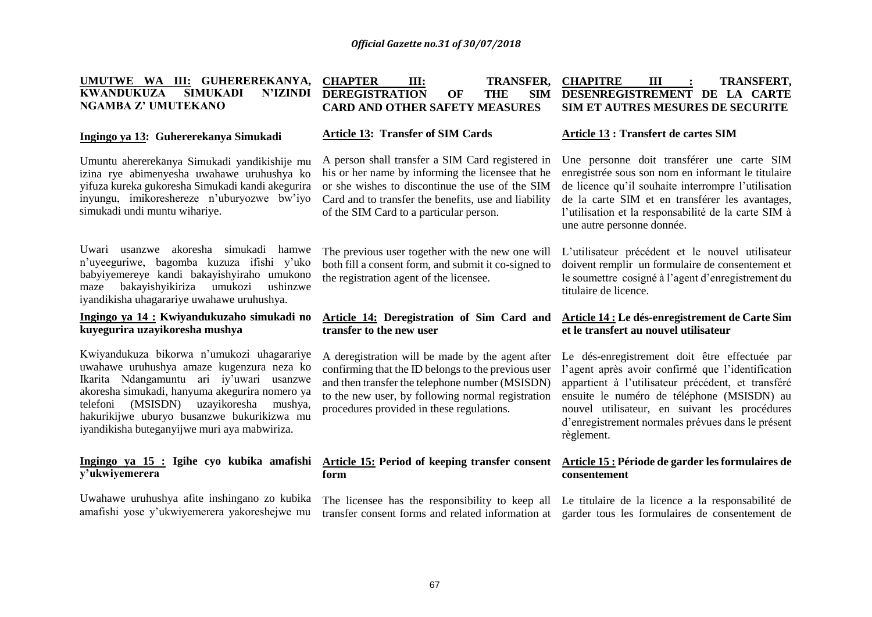#### **UMUTWE WA III: GUHEREREKANYA, KWANDUKUZA SIMUKADI N'IZINDI NGAMBA Z' UMUTEKANO CHAPTER III: TRANSFER, CHAPITRE DEREGISTRATION OF THE CARD AND OTHER SAFETY MEASURES CHAPITRE III : TRANSFERT, DESENREGISTREMENT DE LA CARTE SIM ET AUTRES MESURES DE SECURITE**

#### **Ingingo ya 13: Guhererekanya Simukadi**

Umuntu ahererekanya Simukadi yandikishije mu izina rye abimenyesha uwahawe uruhushya ko yifuza kureka gukoresha Simukadi kandi akegurira inyungu, imikoreshereze n'uburyozwe bw'iyo simukadi undi muntu wihariye.

Uwari usanzwe akoresha simukadi hamwe n'uyeeguriwe, bagomba kuzuza ifishi y'uko babyiyemereye kandi bakayishyiraho umukono maze bakayishyikiriza umukozi ushinzwe iyandikisha uhagarariye uwahawe uruhushya.

#### **Ingingo ya 14 : Kwiyandukuzaho simukadi no kuyegurira uzayikoresha mushya**

Kwiyandukuza bikorwa n'umukozi uhagarariye uwahawe uruhushya amaze kugenzura neza ko Ikarita Ndangamuntu ari iy'uwari usanzwe akoresha simukadi, hanyuma akegurira nomero ya telefoni (MSISDN) uzayikoresha mushya, hakurikijwe uburyo busanzwe bukurikizwa mu iyandikisha buteganyijwe muri aya mabwiriza.

#### **Ingingo ya 15 : Igihe cyo kubika amafishi y'ukwiyemerera**

Uwahawe uruhushya afite inshingano zo kubika amafishi yose y'ukwiyemerera yakoreshejwe mu

#### **Article 13: Transfer of SIM Cards**

A person shall transfer a SIM Card registered in his or her name by informing the licensee that he or she wishes to discontinue the use of the SIM Card and to transfer the benefits, use and liability of the SIM Card to a particular person.

both fill a consent form, and submit it co-signed to the registration agent of the licensee.

#### **Article 14: Deregistration of Sim Card and transfer to the new user**

A deregistration will be made by the agent after confirming that the ID belongs to the previous user and then transfer the telephone number (MSISDN) to the new user, by following normal registration procedures provided in these regulations.

#### **Article 15: Period of keeping transfer consent Article 15 : Période de garder les formulaires de form**

#### **Article 13 : Transfert de cartes SIM**

Une personne doit transférer une carte SIM enregistrée sous son nom en informant le titulaire de licence qu'il souhaite interrompre l'utilisation de la carte SIM et en transférer les avantages, l'utilisation et la responsabilité de la carte SIM à une autre personne donnée.

The previous user together with the new one will L'utilisateur précédent et le nouvel utilisateur doivent remplir un formulaire de consentement et le soumettre cosigné à l'agent d'enregistrement du titulaire de licence.

#### **Article 14 : Le dés-enregistrement de Carte Sim et le transfert au nouvel utilisateur**

Le dés-enregistrement doit être effectuée par l'agent après avoir confirmé que l'identification appartient à l'utilisateur précédent, et transféré ensuite le numéro de téléphone (MSISDN) au nouvel utilisateur, en suivant les procédures d'enregistrement normales prévues dans le présent règlement.

## **consentement**

The licensee has the responsibility to keep all Le titulaire de la licence a la responsabilité de transfer consent forms and related information at garder tous les formulaires de consentement de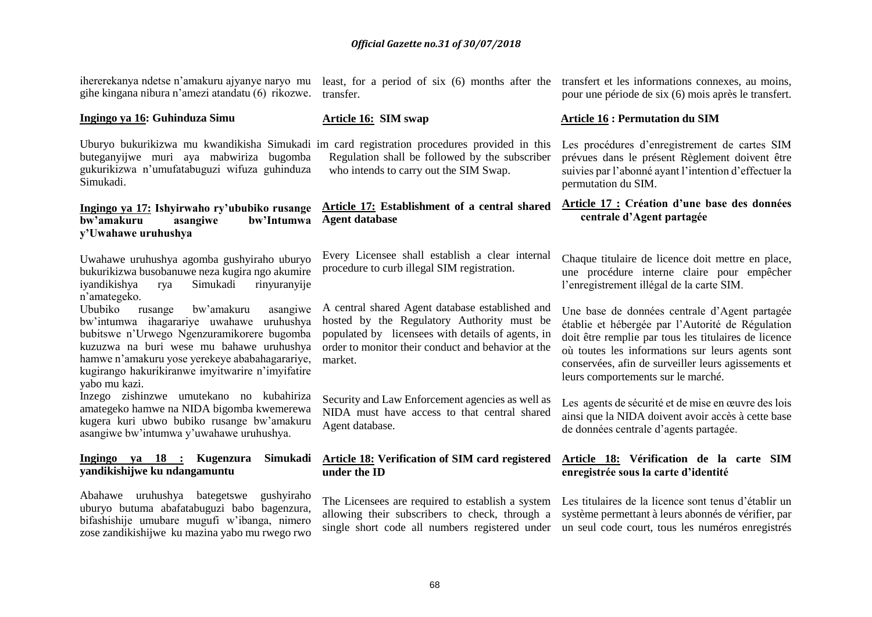ihererekanya ndetse n'amakuru ajyanye naryo mu least, for a period of six (6) months after the transfert et les informations connexes, au moins, gihe kingana nibura n'amezi atandatu (6) rikozwe.

#### **Ingingo ya 16: Guhinduza Simu**

Uburyo bukurikizwa mu kwandikisha Simukadi im card registration procedures provided in this buteganyijwe muri aya mabwiriza bugomba gukurikizwa n'umufatabuguzi wifuza guhinduza Simukadi.

#### **Ingingo ya 17: Ishyirwaho ry'ububiko rusange bw'amakuru asangiwe bw'Intumwa y'Uwahawe uruhushya**

Uwahawe uruhushya agomba gushyiraho uburyo bukurikizwa busobanuwe neza kugira ngo akumire iyandikishya rya Simukadi rinyuranyije n'amategeko.

Ububiko rusange bw'amakuru asangiwe bw'intumwa ihagarariye uwahawe uruhushya bubitswe n'Urwego Ngenzuramikorere bugomba kuzuzwa na buri wese mu bahawe uruhushya hamwe n'amakuru yose yerekeye ababahagarariye, kugirango hakurikiranwe imyitwarire n'imyifatire yabo mu kazi.

Inzego zishinzwe umutekano no kubahiriza amategeko hamwe na NIDA bigomba kwemerewa kugera kuri ubwo bubiko rusange bw'amakuru asangiwe bw'intumwa y'uwahawe uruhushya.

#### **Ingingo ya 18 : Kugenzura Simukadi yandikishijwe ku ndangamuntu**

Abahawe uruhushya bategetswe gushyiraho uburyo butuma abafatabuguzi babo bagenzura, bifashishije umubare mugufi w'ibanga, nimero zose zandikishijwe ku mazina yabo mu rwego rwo

transfer.

#### **Article 16: SIM swap**

Regulation shall be followed by the subscriber who intends to carry out the SIM Swap.

#### **Article 17: Establishment of a central shared Agent database**

Every Licensee shall establish a clear internal procedure to curb illegal SIM registration.

A central shared Agent database established and hosted by the Regulatory Authority must be populated by licensees with details of agents, in order to monitor their conduct and behavior at the market.

Security and Law Enforcement agencies as well as NIDA must have access to that central shared Agent database.

#### **Article 18: Verification of SIM card registered under the ID**

pour une période de six (6) mois après le transfert.

#### **Article 16 : Permutation du SIM**

Les procédures d'enregistrement de cartes SIM prévues dans le présent Règlement doivent être suivies par l'abonné ayant l'intention d'effectuer la permutation du SIM.

#### **Article 17 : Création d'une base des données centrale d'Agent partagée**

Chaque titulaire de licence doit mettre en place, une procédure interne claire pour empêcher l'enregistrement illégal de la carte SIM.

Une base de données centrale d'Agent partagée établie et hébergée par l'Autorité de Régulation doit être remplie par tous les titulaires de licence où toutes les informations sur leurs agents sont conservées, afin de surveiller leurs agissements et leurs comportements sur le marché.

Les agents de sécurité et de mise en œuvre des lois ainsi que la NIDA doivent avoir accès à cette base de données centrale d'agents partagée.

#### **Article 18: Vérification de la carte SIM enregistrée sous la carte d'identité**

The Licensees are required to establish a system Les titulaires de la licence sont tenus d'établir un allowing their subscribers to check, through a système permettant à leurs abonnés de vérifier, par single short code all numbers registered under un seul code court, tous les numéros enregistrés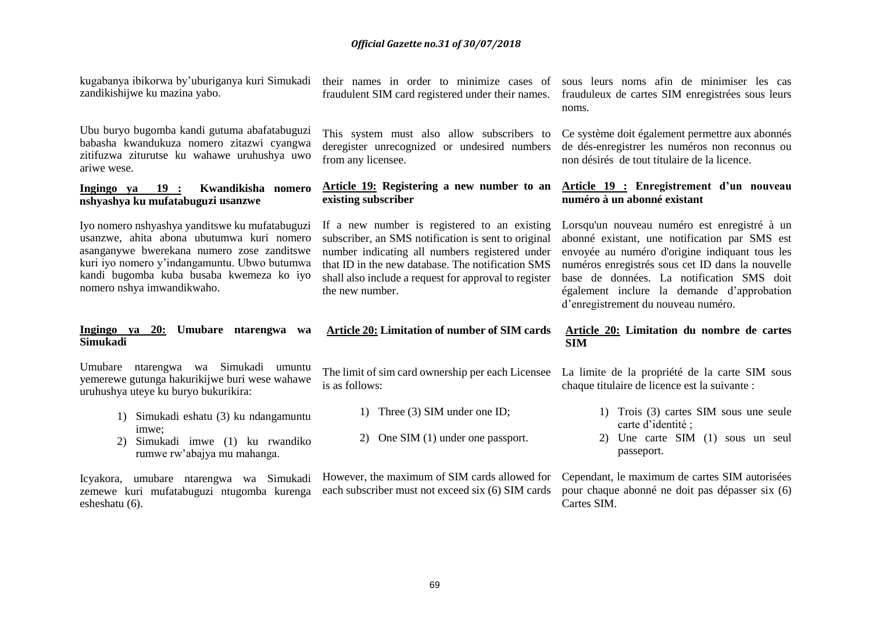| kugabanya ibikorwa by'uburiganya kuri Simukadi<br>zandikishijwe ku mazina yabo.                                                                                                                                                                                     | their names in order to minimize cases of<br>fraudulent SIM card registered under their names.                                                                                                                                                                                         | sous leurs noms afin de minimiser les cas<br>frauduleux de cartes SIM enregistrées sous leurs<br>noms.                                                                                                                                                                                                                                |
|---------------------------------------------------------------------------------------------------------------------------------------------------------------------------------------------------------------------------------------------------------------------|----------------------------------------------------------------------------------------------------------------------------------------------------------------------------------------------------------------------------------------------------------------------------------------|---------------------------------------------------------------------------------------------------------------------------------------------------------------------------------------------------------------------------------------------------------------------------------------------------------------------------------------|
| Ubu buryo bugomba kandi gutuma abafatabuguzi<br>babasha kwandukuza nomero zitazwi cyangwa<br>zitifuzwa ziturutse ku wahawe uruhushya uwo<br>ariwe wese.                                                                                                             | This system must also allow subscribers to<br>deregister unrecognized or undesired numbers<br>from any licensee.                                                                                                                                                                       | Ce système doit également permettre aux abonnés<br>de dés-enregistrer les numéros non reconnus ou<br>non désirés de tout titulaire de la licence.                                                                                                                                                                                     |
| Kwandikisha nomero<br>Ingingo ya<br>19:<br>nshyashya ku mufatabuguzi usanzwe                                                                                                                                                                                        | Article 19: Registering a new number to an<br>existing subscriber                                                                                                                                                                                                                      | Article 19 : Enregistrement d'un nouveau<br>numéro à un abonné existant                                                                                                                                                                                                                                                               |
| Iyo nomero nshyashya yanditswe ku mufatabuguzi<br>usanzwe, ahita abona ubutumwa kuri nomero<br>asanganywe bwerekana numero zose zanditswe<br>kuri iyo nomero y'indangamuntu. Ubwo butumwa<br>kandi bugomba kuba busaba kwemeza ko iyo<br>nomero nshya imwandikwaho. | If a new number is registered to an existing<br>subscriber, an SMS notification is sent to original<br>number indicating all numbers registered under<br>that ID in the new database. The notification SMS<br>shall also include a request for approval to register<br>the new number. | Lorsqu'un nouveau numéro est enregistré à un<br>abonné existant, une notification par SMS est<br>envoyée au numéro d'origine indiquant tous les<br>numéros enregistrés sous cet ID dans la nouvelle<br>base de données. La notification SMS doit<br>également inclure la demande d'approbation<br>d'enregistrement du nouveau numéro. |
| Ingingo ya 20:<br>Umubare ntarengwa wa<br>Simukadi                                                                                                                                                                                                                  | <b>Article 20: Limitation of number of SIM cards</b>                                                                                                                                                                                                                                   | Article 20: Limitation du nombre de cartes<br><b>SIM</b>                                                                                                                                                                                                                                                                              |
| Umubare ntarengwa wa Simukadi<br>umuntu<br>yemerewe gutunga hakurikijwe buri wese wahawe<br>uruhushya uteye ku buryo bukurikira:                                                                                                                                    | The limit of sim card ownership per each Licensee<br>is as follows:                                                                                                                                                                                                                    | La limite de la propriété de la carte SIM sous<br>chaque titulaire de licence est la suivante :                                                                                                                                                                                                                                       |
| 1) Simukadi eshatu (3) ku ndangamuntu<br>imwe:<br>Simukadi imwe (1) ku rwandiko<br>2)<br>rumwe rw'abajya mu mahanga.                                                                                                                                                | 1) Three (3) SIM under one ID;<br>One SIM (1) under one passport.<br>2)                                                                                                                                                                                                                | 1) Trois (3) cartes SIM sous une seule<br>carte d'identité ;<br>Une carte SIM (1) sous un seul<br>2)<br>passeport.                                                                                                                                                                                                                    |
| Icyakora,<br>umubare ntarengwa wa Simukadi                                                                                                                                                                                                                          | However, the maximum of SIM cards allowed for Cependant, le maximum de cartes SIM autorisées                                                                                                                                                                                           |                                                                                                                                                                                                                                                                                                                                       |

zemewe kuri mufatabuguzi ntugomba kurenga each subscriber must not exceed six (6) SIM cards pour chaque abonné ne doit pas dépasser six (6) Cartes SIM.

esheshatu (6).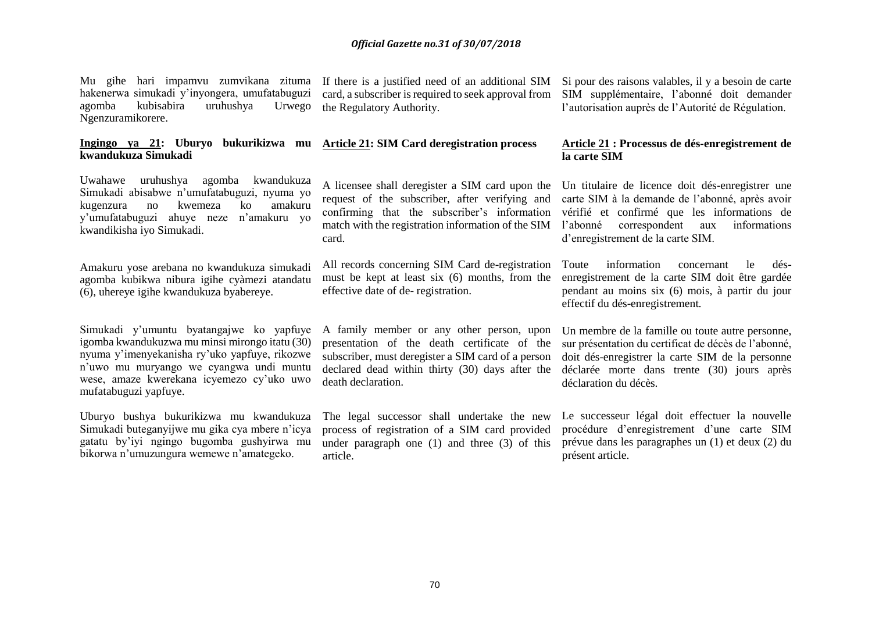hakenerwa simukadi y'inyongera, umufatabuguzi agomba kubisabira uruhushya Urwego Ngenzuramikorere.

#### **Ingingo ya 21: Uburyo bukurikizwa mu Article 21: SIM Card deregistration process kwandukuza Simukadi**

Uwahawe uruhushya agomba kwandukuza Simukadi abisabwe n'umufatabuguzi, nyuma yo kugenzura no kwemeza ko amakuru y'umufatabuguzi ahuye neze n'amakuru yo kwandikisha iyo Simukadi.

Amakuru yose arebana no kwandukuza simukadi agomba kubikwa nibura igihe cyàmezi atandatu (6), uhereye igihe kwandukuza byabereye.

Simukadi y'umuntu byatangajwe ko yapfuye igomba kwandukuzwa mu minsi mirongo itatu (30) nyuma y'imenyekanisha ry'uko yapfuye, rikozwe n'uwo mu muryango we cyangwa undi muntu wese, amaze kwerekana icyemezo cy'uko uwo mufatabuguzi yapfuye.

Uburyo bushya bukurikizwa mu kwandukuza Simukadi buteganyijwe mu gika cya mbere n'icya gatatu by'iyi ngingo bugomba gushyirwa mu bikorwa n'umuzungura wemewe n'amategeko.

card, a subscriber is required to seek approval from SIM supplémentaire, l'abonné doit demander the Regulatory Authority.

card.

All records concerning SIM Card de-registration Toute must be kept at least six (6) months, from the effective date of de- registration.

A family member or any other person, upon presentation of the death certificate of the subscriber, must deregister a SIM card of a person declared dead within thirty (30) days after the déclarée morte dans trente (30) jours après death declaration.

The legal successor shall undertake the new process of registration of a SIM card provided under paragraph one (1) and three (3) of this article.

Mu gihe hari impamvu zumvikana zituma If there is a justified need of an additional SIM Si pour des raisons valables, il y a besoin de carte l'autorisation auprès de l'Autorité de Régulation.

#### **Article 21 : Processus de dés-enregistrement de la carte SIM**

A licensee shall deregister a SIM card upon the Un titulaire de licence doit dés-enregistrer une request of the subscriber, after verifying and carte SIM à la demande de l'abonné, après avoir confirming that the subscriber's information vérifié et confirmé que les informations de match with the registration information of the SIM l'abonné correspondent aux informations d'enregistrement de la carte SIM.

> information concernant le désenregistrement de la carte SIM doit être gardée pendant au moins six (6) mois, à partir du jour effectif du dés-enregistrement*.*

> Un membre de la famille ou toute autre personne, sur présentation du certificat de décès de l'abonné, doit dés-enregistrer la carte SIM de la personne déclaration du décès.

> Le successeur légal doit effectuer la nouvelle procédure d'enregistrement d'une carte SIM prévue dans les paragraphes un (1) et deux (2) du présent article.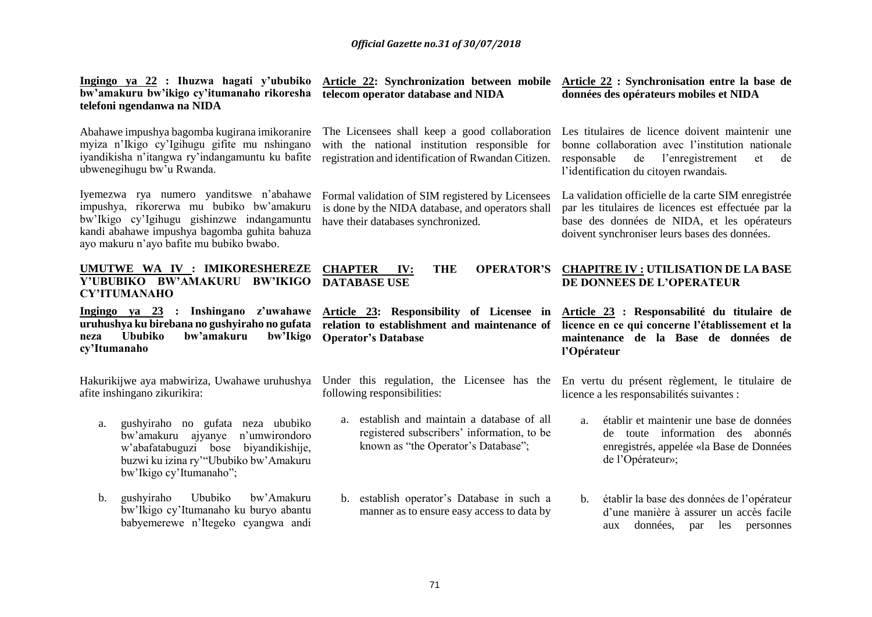**Ingingo ya 22 : Ihuzwa hagati y'ububiko bw'amakuru bw'ikigo cy'itumanaho rikoresha telefoni ngendanwa na NIDA** Abahawe impushya bagomba kugirana imikoranire myiza n'Ikigo cy'Igihugu gifite mu nshingano iyandikisha n'itangwa ry'indangamuntu ku bafite ubwenegihugu bw'u Rwanda. Iyemezwa rya numero yanditswe n'abahawe impushya, rikorerwa mu bubiko bw'amakuru bw'Ikigo cy'Igihugu gishinzwe indangamuntu kandi abahawe impushya bagomba guhita bahuza ayo makuru n'ayo bafite mu bubiko bwabo. **Article 22: Synchronization between mobile Article 22 : Synchronisation entre la base de telecom operator database and NIDA** The Licensees shall keep a good collaboration Les titulaires de licence doivent maintenir une with the national institution responsible for registration and identification of Rwandan Citizen. Formal validation of SIM registered by Licensees is done by the NIDA database, and operators shall have their databases synchronized. **données des opérateurs mobiles et NIDA** bonne collaboration avec l'institution nationale responsable de l'enregistrement et de l'identification du citoyen rwandais. La validation officielle de la carte SIM enregistrée par les titulaires de licences est effectuée par la base des données de NIDA, et les opérateurs doivent synchroniser leurs bases des données. **UMUTWE WA IV : IMIKORESHEREZE Y'UBUBIKO BW'AMAKURU BW'IKIGO DATABASE USE CY'ITUMANAHO CHAPTER IV: THE OPERATOR'S CHAPITRE IV : UTILISATION DE LA BASE DE DONNEES DE L'OPERATEUR Ingingo ya 23 : Inshingano z'uwahawe Article 23: Responsibility of Licensee in Article 23 : Responsabilité du titulaire de uruhushya ku birebana no gushyiraho no gufata neza** Ububiko bw'amakuru **cy'Itumanaho** Hakurikijwe aya mabwiriza, Uwahawe uruhushya afite inshingano zikurikira: a. gushyiraho no gufata neza ububiko bw'amakuru ajyanye n'umwirondoro w'abafatabuguzi bose biyandikishije, buzwi ku izina ry'"Ububiko bw'Amakuru bw'Ikigo cy'Itumanaho"; b. gushyiraho Ububiko bw'Amakuru bw'Ikigo cy'Itumanaho ku buryo abantu babyemerewe n'Itegeko cyangwa andi **relation to establishment and maintenance of Operator's Database** Under this regulation, the Licensee has the En vertu du présent règlement, le titulaire de following responsibilities: a. establish and maintain a database of all registered subscribers' information, to be known as "the Operator's Database"; b. establish operator's Database in such a manner as to ensure easy access to data by **licence en ce qui concerne l'établissement et la maintenance de la Base de données de l'Opérateur** licence a les responsabilités suivantes : a. établir et maintenir une base de données de toute information des abonnés enregistrés, appelée «la Base de Données de l'Opérateur»; b. établir la base des données de l'opérateur d'une manière à assurer un accès facile aux données, par les personnes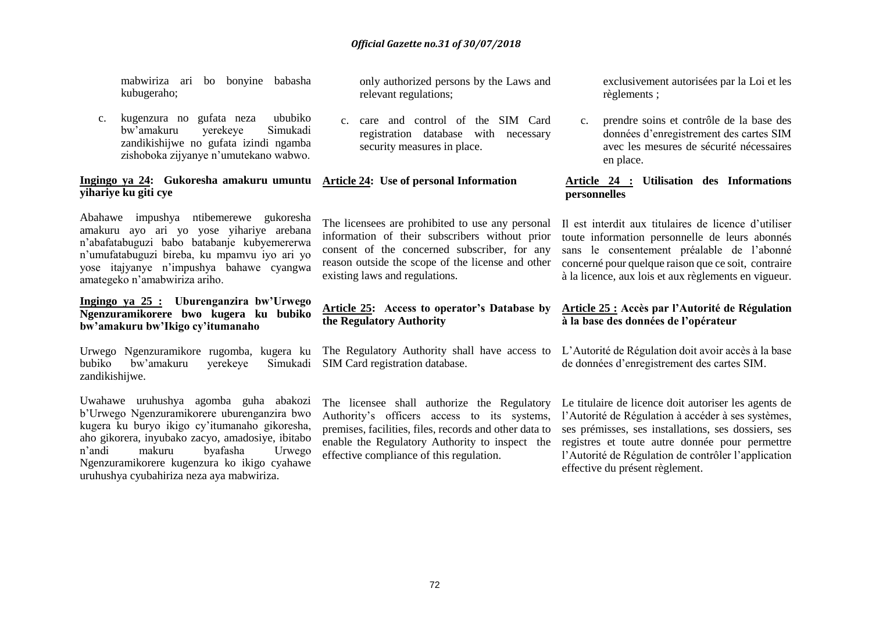mabwiriza ari bo bonyine babasha kubugeraho;

c. kugenzura no gufata neza ububiko bw'amakuru yerekeye Simukadi zandikishijwe no gufata izindi ngamba zishoboka zijyanye n'umutekano wabwo.

#### **Ingingo ya 24: Gukoresha amakuru umuntu yihariye ku giti cye**

Abahawe impushya ntibemerewe gukoresha amakuru ayo ari yo yose yihariye arebana n'abafatabuguzi babo batabanje kubyemererwa n'umufatabuguzi bireba, ku mpamvu iyo ari yo yose itajyanye n'impushya bahawe cyangwa amategeko n'amabwiriza ariho.

#### **Ingingo ya 25 : Uburenganzira bw'Urwego Ngenzuramikorere bwo kugera ku bubiko bw'amakuru bw'Ikigo cy'itumanaho**

Urwego Ngenzuramikore rugomba, kugera ku bubiko bw'amakuru zandikishijwe.

Uwahawe uruhushya agomba guha abakozi b'Urwego Ngenzuramikorere uburenganzira bwo kugera ku buryo ikigo cy'itumanaho gikoresha, aho gikorera, inyubako zacyo, amadosiye, ibitabo n'andi makuru byafasha Urwego Ngenzuramikorere kugenzura ko ikigo cyahawe uruhushya cyubahiriza neza aya mabwiriza.

only authorized persons by the Laws and relevant regulations;

c. care and control of the SIM Card registration database with necessary security measures in place.

#### **Article 24: Use of personal Information**

The licensees are prohibited to use any personal information of their subscribers without prior consent of the concerned subscriber, for any reason outside the scope of the license and other existing laws and regulations.

#### **Article 25: Access to operator's Database by the Regulatory Authority**

The Regulatory Authority shall have access to L'Autorité de Régulation doit avoir accès à la base Simukadi SIM Card registration database.

> The licensee shall authorize the Regulatory Authority's officers access to its systems, premises, facilities, files, records and other data to effective compliance of this regulation.

exclusivement autorisées par la Loi et les règlements ;

c. prendre soins et contrôle de la base des données d'enregistrement des cartes SIM avec les mesures de sécurité nécessaires en place.

#### **Article 24 : Utilisation des Informations personnelles**

Il est interdit aux titulaires de licence d'utiliser toute information personnelle de leurs abonnés sans le consentement préalable de l'abonné concerné pour quelque raison que ce soit, contraire à la licence, aux lois et aux règlements en vigueur.

#### **Article 25 : Accès par l'Autorité de Régulation à la base des données de l'opérateur**

de données d'enregistrement des cartes SIM.

enable the Regulatory Authority to inspect the registres et toute autre donnée pour permettre Le titulaire de licence doit autoriser les agents de l'Autorité de Régulation à accéder à ses systèmes, ses prémisses, ses installations, ses dossiers, ses l'Autorité de Régulation de contrôler l'application effective du présent règlement.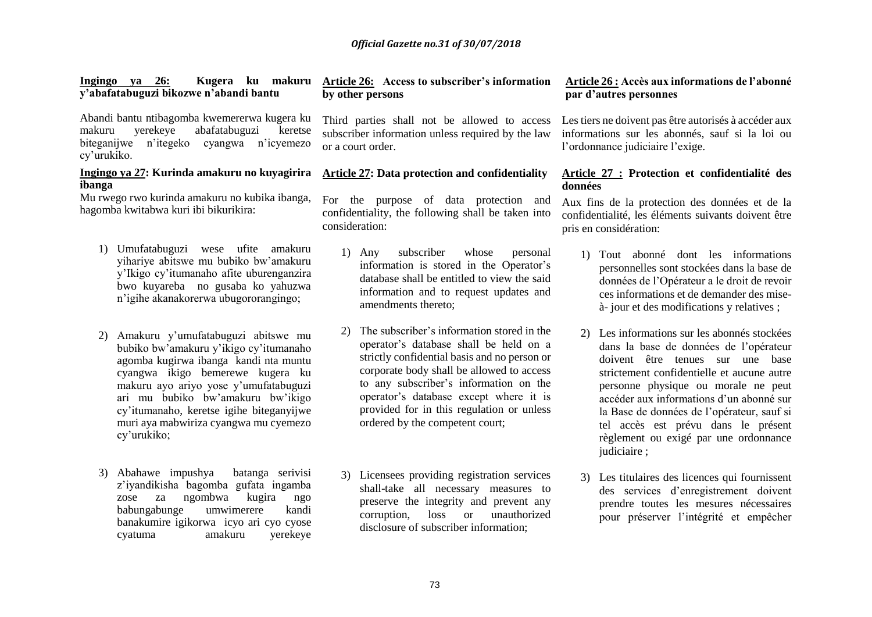| y'abafatabuguzi bikozwe n'abandi bantu                                                                                                                                                                 | by other perso                                       |
|--------------------------------------------------------------------------------------------------------------------------------------------------------------------------------------------------------|------------------------------------------------------|
| Abandi bantu ntibagomba kwemererwa kugera ku<br>yerekeye abafatabuguzi keretse<br>makuru<br>biteganijwe n'itegeko cyangwa n'icyemezo<br>cy'urukiko.                                                    | Third parties<br>subscriber info<br>or a court order |
| Ingingo ya 27: Kurinda amakuru no kuyagirira                                                                                                                                                           | <b>Article 27: Da</b>                                |
| ibanga<br>Mu rwego rwo kurinda amakuru no kubika ibanga,<br>hagomba kwitabwa kuri ibi bikurikira:                                                                                                      | For the pur<br>confidentiality,<br>consideration:    |
| 1) Umufatabuguzi wese ufite amakuru<br>yihariye abitswe mu bubiko bw'amakuru<br>y'Ikigo cy'itumanaho afite uburenganzira<br>bwo kuyareba no gusaba ko yahuzwa<br>n'igihe akanakorerwa ubugororangingo; | 1)<br>Any<br>inform<br>databa<br>inform<br>amend     |
| 2) Amakuru y'umufatabuguzi abitswe mu<br>bubiko bw'amakuru y'ikigo cy'itumanaho<br>agomba kugirwa ibanga kandi nta muntu                                                                               | The su<br>2)<br>operato<br>strictly                  |

3) Abahawe impushya batanga serivisi z'iyandikisha bagomba gufata ingamba zose za ngombwa kugira ngo babungabunge umwimerere kandi banakumire igikorwa icyo ari cyo cyose cyatuma amakuru yerekeye

cy'urukiko;

cyangwa ikigo bemerewe kugera ku makuru ayo ariyo yose y'umufatabuguzi ari mu bubiko bw'amakuru bw'ikigo cy'itumanaho, keretse igihe biteganyijwe muri aya mabwiriza cyangwa mu cyemezo

#### **Ingingo ya 26: Kugera ku makuru Article 26: Access to subscriber's information by other persons**

Third parties shall not be allowed to access Les tiers ne doivent pas être autorisés à accéder aux bether information unless required by the law or a court order.

#### **Article 27: Data protection and confidentiality**

rpose of data protection and the following shall be taken into

- subscriber whose personal nation is stored in the Operator's ase shall be entitled to view the said nation and to request updates and Iments thereto:
- $\alpha$  information stored in the or's database shall be held on a strictly confidential basis and no person or corporate body shall be allowed to access to any subscriber's information on the operator's database except where it is provided for in this regulation or unless ordered by the competent court;
- 3) Licensees providing registration services shall-take all necessary measures to preserve the integrity and prevent any corruption, loss or unauthorized disclosure of subscriber information;

#### **Article 26 : Accès aux informations de l'abonné par d'autres personnes**

informations sur les abonnés, sauf si la loi ou l'ordonnance judiciaire l'exige.

#### **Article 27 : Protection et confidentialité des données**

Aux fins de la protection des données et de la confidentialité, les éléments suivants doivent être pris en considération:

- 1) Tout abonné dont les informations personnelles sont stockées dans la base de données de l'Opérateur a le droit de revoir ces informations et de demander des miseà- jour et des modifications y relatives ;
- 2) Les informations sur les abonnés stockées dans la base de données de l'opérateur doivent être tenues sur une base strictement confidentielle et aucune autre personne physique ou morale ne peut accéder aux informations d'un abonné sur la Base de données de l'opérateur, sauf si tel accès est prévu dans le présent règlement ou exigé par une ordonnance judiciaire ;
- 3) Les titulaires des licences qui fournissent des services d'enregistrement doivent prendre toutes les mesures nécessaires pour préserver l'intégrité et empêcher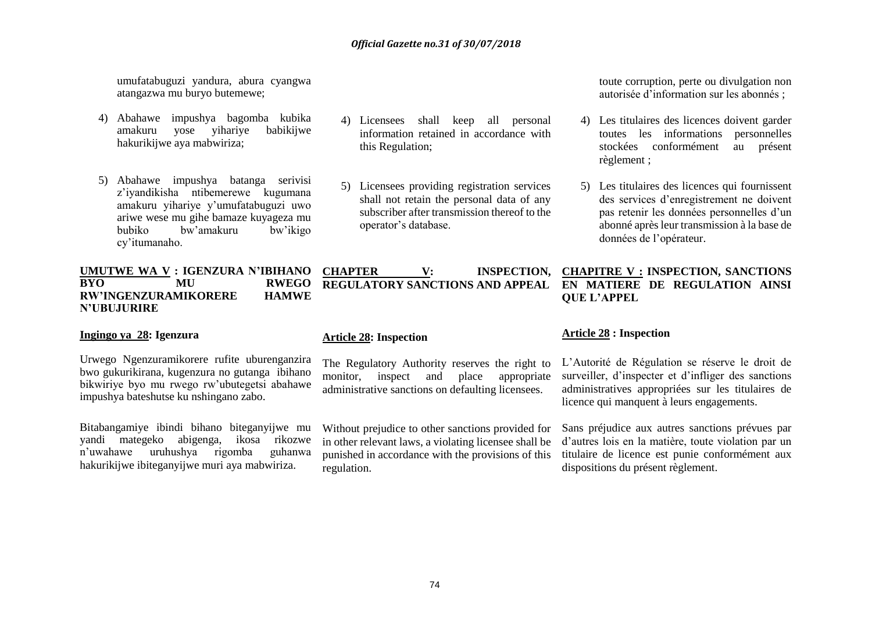umufatabuguzi yandura, abura cyangwa atangazwa mu buryo butemewe;

- 4) Abahawe impushya bagomba kubika amakuru yose yihariye babikijwe hakurikijwe aya mabwiriza;
- 5) Abahawe impushya batanga serivisi z'iyandikisha ntibemerewe kugumana amakuru yihariye y'umufatabuguzi uwo ariwe wese mu gihe bamaze kuyageza mu bubiko bw'amakuru bw'ikigo cy'itumanaho.

#### **UMUTWE WA V : IGENZURA N'IBIHANO BYO MU RWEGO RW'INGENZURAMIKORERE HAMWE N'UBUJURIRE**

#### **Ingingo ya 28: Igenzura**

Urwego Ngenzuramikorere rufite uburenganzira bwo gukurikirana, kugenzura no gutanga ibihano bikwiriye byo mu rwego rw'ubutegetsi abahawe impushya bateshutse ku nshingano zabo.

Bitabangamiye ibindi bihano biteganyijwe mu yandi mategeko abigenga, ikosa rikozwe n'uwahawe uruhushya rigomba guhanwa hakurikijwe ibiteganyijwe muri aya mabwiriza.

- 4) Licensees shall keep all personal information retained in accordance with this Regulation;
- 5) Licensees providing registration services shall not retain the personal data of any subscriber after transmission thereof to the operator's database.

**CHAPTER V: INSPECTION, CHAPITRE V : INSPECTION, SANCTIONS REGULATORY SANCTIONS AND APPEAL EN MATIERE DE REGULATION AINSI** 

#### **Article 28: Inspection**

The Regulatory Authority reserves the right to monitor, inspect and place appropriate administrative sanctions on defaulting licensees.

Without prejudice to other sanctions provided for in other relevant laws, a violating licensee shall be punished in accordance with the provisions of this regulation.

toute corruption, perte ou divulgation non autorisée d'information sur les abonnés ;

- 4) Les titulaires des licences doivent garder toutes les informations personnelles stockées conformément au présent règlement ;
- 5) Les titulaires des licences qui fournissent des services d'enregistrement ne doivent pas retenir les données personnelles d'un abonné après leur transmission à la base de données de l'opérateur.

**QUE L'APPEL**

#### **Article 28 : Inspection**

L'Autorité de Régulation se réserve le droit de surveiller, d'inspecter et d'infliger des sanctions administratives appropriées sur les titulaires de licence qui manquent à leurs engagements.

Sans préjudice aux autres sanctions prévues par d'autres lois en la matière, toute violation par un titulaire de licence est punie conformément aux dispositions du présent règlement.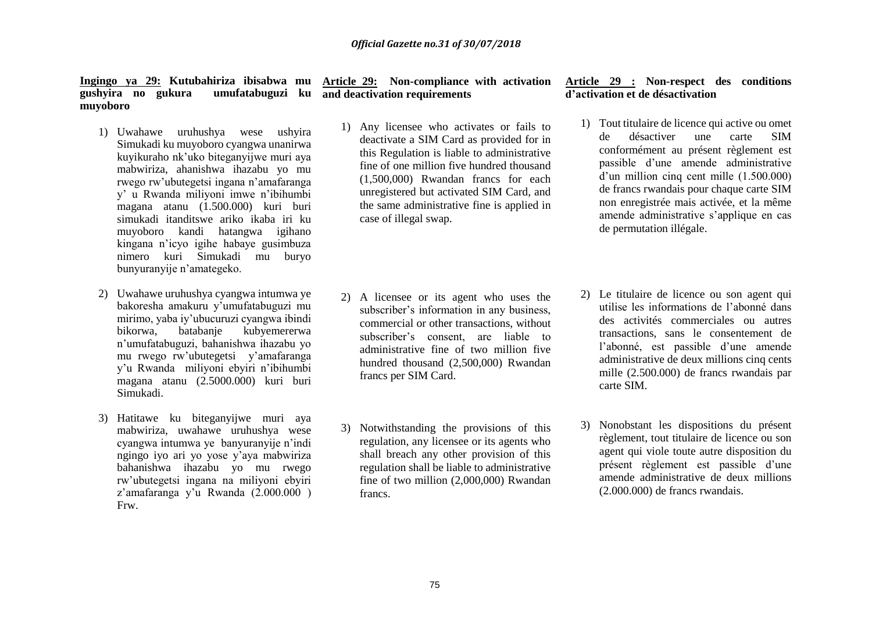**Ingingo ya 29: Kutubahiriza ibisabwa mu Article 29: Non-compliance with activation gushyira no gukura umufatabuguzi ku and deactivation requirements muyoboro**

- 1) Uwahawe uruhushya wese ushyira Simukadi ku muyoboro cyangwa unanirwa kuyikuraho nk'uko biteganyijwe muri aya mabwiriza, ahanishwa ihazabu yo mu rwego rw'ubutegetsi ingana n'amafaranga y' u Rwanda miliyoni imwe n'ibihumbi magana atanu (1.500.000) kuri buri simukadi itanditswe ariko ikaba iri ku muyoboro kandi hatangwa igihano kingana n'icyo igihe habaye gusimbuza nimero kuri Simukadi mu buryo bunyuranyije n'amategeko.
- 2) Uwahawe uruhushya cyangwa intumwa ye bakoresha amakuru y'umufatabuguzi mu mirimo, yaba iy'ubucuruzi cyangwa ibindi bikorwa, batabanje kubyemererwa n'umufatabuguzi, bahanishwa ihazabu yo mu rwego rw'ubutegetsi y'amafaranga y'u Rwanda miliyoni ebyiri n'ibihumbi magana atanu (2.5000.000) kuri buri Simukadi.
- 3) Hatitawe ku biteganyijwe muri aya mabwiriza, uwahawe uruhushya wese cyangwa intumwa ye banyuranyije n'indi ngingo iyo ari yo yose y'aya mabwiriza bahanishwa ihazabu yo mu rwego rw'ubutegetsi ingana na miliyoni ebyiri z'amafaranga y'u Rwanda (2.000.000 ) Frw.

1) Any licensee who activates or fails to deactivate a SIM Card as provided for in this Regulation is liable to administrative fine of one million five hundred thousand (1,500,000) Rwandan francs for each unregistered but activated SIM Card, and the same administrative fine is applied in case of illegal swap.

- 2) A licensee or its agent who uses the subscriber's information in any business, commercial or other transactions, without subscriber's consent, are liable to administrative fine of two million five hundred thousand (2,500,000) Rwandan francs per SIM Card.
- 3) Notwithstanding the provisions of this regulation, any licensee or its agents who shall breach any other provision of this regulation shall be liable to administrative fine of two million (2,000,000) Rwandan francs.

#### **Article 29 : Non-respect des conditions d'activation et de désactivation**

- 1) Tout titulaire de licence qui active ou omet de désactiver une carte SIM conformément au présent règlement est passible d'une amende administrative d'un million cinq cent mille (1.500.000) de francs rwandais pour chaque carte SIM non enregistrée mais activée, et la même amende administrative s'applique en cas de permutation illégale.
- 2) Le titulaire de licence ou son agent qui utilise les informations de l'abonné dans des activités commerciales ou autres transactions, sans le consentement de l'abonné, est passible d'une amende administrative de deux millions cinq cents mille (2.500.000) de francs rwandais par carte SIM.
- 3) Nonobstant les dispositions du présent règlement, tout titulaire de licence ou son agent qui viole toute autre disposition du présent règlement est passible d'une amende administrative de deux millions (2.000.000) de francs rwandais.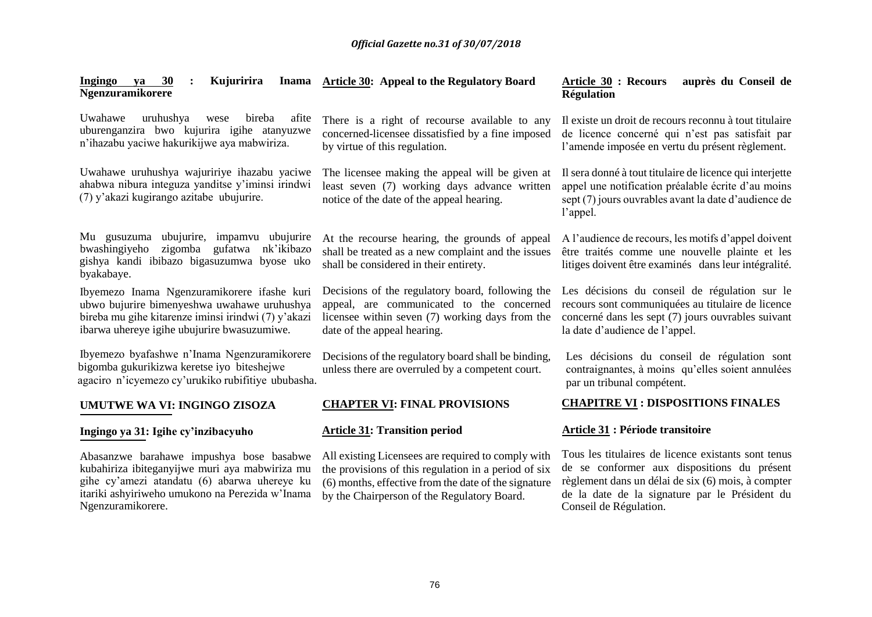| 30<br>ya<br>Kujuririra<br>Ingingo<br>Ngenzuramikorere                                                                                                                                                              | Inama Article 30: Appeal to the Regulatory Board                                                                                                                                                                  | <b>Article 30 : Recours</b><br>auprès du Conseil de<br><b>Régulation</b>                                                                                                                                                             |
|--------------------------------------------------------------------------------------------------------------------------------------------------------------------------------------------------------------------|-------------------------------------------------------------------------------------------------------------------------------------------------------------------------------------------------------------------|--------------------------------------------------------------------------------------------------------------------------------------------------------------------------------------------------------------------------------------|
| Uwahawe<br>uruhushya<br>bireba<br>afite<br>wese<br>uburenganzira bwo kujurira igihe atanyuzwe<br>n'ihazabu yaciwe hakurikijwe aya mabwiriza.                                                                       | There is a right of recourse available to any<br>concerned-licensee dissatisfied by a fine imposed<br>by virtue of this regulation.                                                                               | Il existe un droit de recours reconnu à tout titulaire<br>de licence concerné qui n'est pas satisfait par<br>l'amende imposée en vertu du présent règlement.                                                                         |
| Uwahawe uruhushya wajuririye ihazabu yaciwe<br>ahabwa nibura integuza yanditse y'iminsi irindwi<br>(7) y'akazi kugirango azitabe ubujurire.                                                                        | The licensee making the appeal will be given at<br>least seven (7) working days advance written<br>notice of the date of the appeal hearing.                                                                      | Il sera donné à tout titulaire de licence qui interjette<br>appel une notification préalable écrite d'au moins<br>sept (7) jours ouvrables avant la date d'audience de<br>l'appel.                                                   |
| Mu gusuzuma ubujurire, impamvu ubujurire<br>zigomba gufatwa nk'ikibazo<br>bwashingiyeho<br>gishya kandi ibibazo bigasuzumwa byose uko<br>byakabaye.                                                                | At the recourse hearing, the grounds of appeal<br>shall be treated as a new complaint and the issues<br>shall be considered in their entirety.                                                                    | A l'audience de recours, les motifs d'appel doivent<br>être traités comme une nouvelle plainte et les<br>litiges doivent être examinés dans leur intégralité.                                                                        |
| Ibyemezo Inama Ngenzuramikorere ifashe kuri<br>ubwo bujurire bimenyeshwa uwahawe uruhushya<br>bireba mu gihe kitarenze iminsi irindwi (7) y'akazi<br>ibarwa uhereye igihe ubujurire bwasuzumiwe.                   | Decisions of the regulatory board, following the<br>appeal, are communicated to the concerned<br>licensee within seven (7) working days from the<br>date of the appeal hearing.                                   | Les décisions du conseil de régulation sur le<br>recours sont communiquées au titulaire de licence<br>concerné dans les sept (7) jours ouvrables suivant<br>la date d'audience de l'appel.                                           |
| Ibyemezo byafashwe n'Inama Ngenzuramikorere<br>bigomba gukurikizwa keretse iyo biteshejwe<br>agaciro n'icyemezo cy'urukiko rubifitiye ububasha.                                                                    | Decisions of the regulatory board shall be binding,<br>unless there are overruled by a competent court.                                                                                                           | Les décisions du conseil de régulation sont<br>contraignantes, à moins qu'elles soient annulées<br>par un tribunal compétent.                                                                                                        |
| UMUTWE WA VI: INGINGO ZISOZA                                                                                                                                                                                       | <b>CHAPTER VI: FINAL PROVISIONS</b>                                                                                                                                                                               | <b>CHAPITRE VI: DISPOSITIONS FINALES</b>                                                                                                                                                                                             |
| Ingingo ya 31: Igihe cy'inzibacyuho                                                                                                                                                                                | <b>Article 31: Transition period</b>                                                                                                                                                                              | <b>Article 31 : Période transitoire</b>                                                                                                                                                                                              |
| Abasanzwe barahawe impushya bose basabwe<br>kubahiriza ibiteganyijwe muri aya mabwiriza mu<br>gihe cy'amezi atandatu (6) abarwa uhereye ku<br>itariki ashyiriweho umukono na Perezida w'Inama<br>Ngenzuramikorere. | All existing Licensees are required to comply with<br>the provisions of this regulation in a period of six<br>(6) months, effective from the date of the signature<br>by the Chairperson of the Regulatory Board. | Tous les titulaires de licence existants sont tenus<br>de se conformer aux dispositions du présent<br>règlement dans un délai de six (6) mois, à compter<br>de la date de la signature par le Président du<br>Conseil de Régulation. |
|                                                                                                                                                                                                                    |                                                                                                                                                                                                                   |                                                                                                                                                                                                                                      |